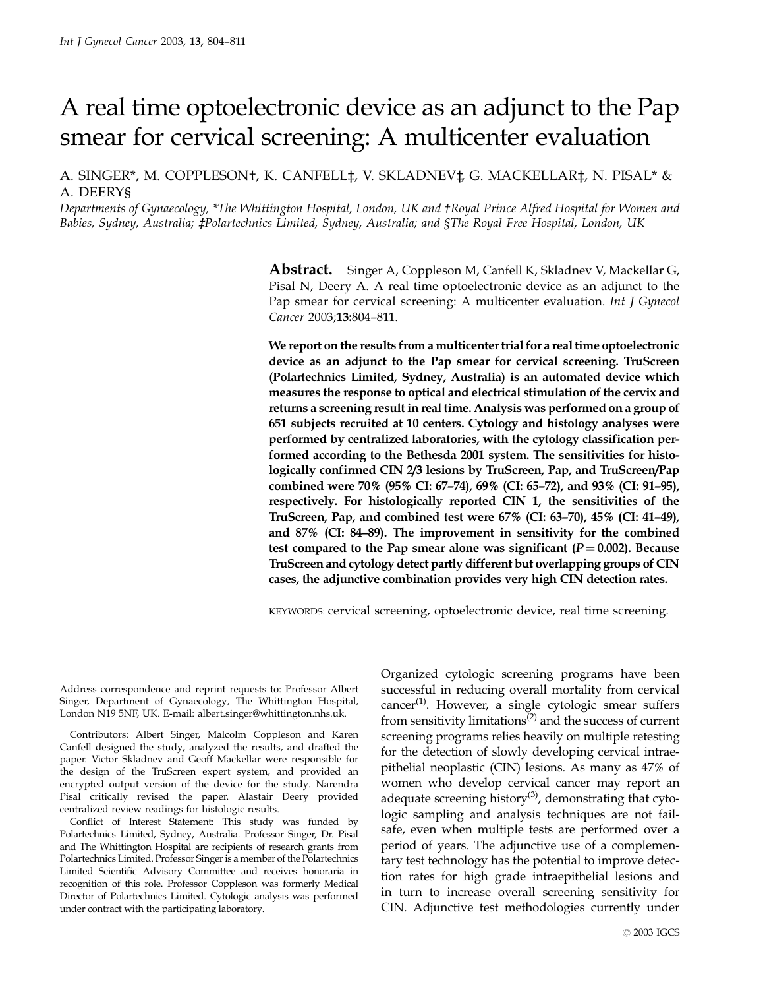# A real time optoelectronic device as an adjunct to the Pap smear for cervical screening: A multicenter evaluation

A. SINGER\*, M. COPPLESON†, K. CANFELL‡, V. SKLADNEV‡, G. MACKELLAR‡, N. PISAL\* & A. DEERY§

Departments of Gynaecology, \*The Whittington Hospital, London, UK and †Royal Prince Alfred Hospital for Women and Babies, Sydney, Australia; ‡Polartechnics Limited, Sydney, Australia; and §The Royal Free Hospital, London, UK

> Abstract. Singer A, Coppleson M, Canfell K, Skladnev V, Mackellar G, Pisal N, Deery A. A real time optoelectronic device as an adjunct to the Pap smear for cervical screening: A multicenter evaluation. *Int J Gynecol* Cancer 2003;13:804—811.

> We report on the results from a multicenter trial for a real time optoelectronic device as an adjunct to the Pap smear for cervical screening. TruScreen (Polartechnics Limited, Sydney, Australia) is an automated device which measures the response to optical and electrical stimulation of the cervix and returns a screening result in real time. Analysis was performed on a group of 651 subjects recruited at 10 centers. Cytology and histology analyses were performed by centralized laboratories, with the cytology classification performed according to the Bethesda 2001 system. The sensitivities for histologically confirmed CIN 2/3 lesions by TruScreen, Pap, and TruScreen/Pap combined were 70% (95% CI: 67—74), 69% (CI: 65—72), and 93% (CI: 91—95), respectively. For histologically reported CIN 1, the sensitivities of the TruScreen, Pap, and combined test were 67% (CI: 63—70), 45% (CI: 41—49), and 87% (CI: 84—89). The improvement in sensitivity for the combined test compared to the Pap smear alone was significant  $(P = 0.002)$ . Because TruScreen and cytology detect partly different but overlapping groups of CIN cases, the adjunctive combination provides very high CIN detection rates.

KEYWORDS: cervical screening, optoelectronic device, real time screening.

Address correspondence and reprint requests to: Professor Albert Singer, Department of Gynaecology, The Whittington Hospital, London N19 5NF, UK. E-mail: albert.singer@whittington.nhs.uk.

Contributors: Albert Singer, Malcolm Coppleson and Karen Canfell designed the study, analyzed the results, and drafted the paper. Victor Skladnev and Geoff Mackellar were responsible for the design of the TruScreen expert system, and provided an encrypted output version of the device for the study. Narendra Pisal critically revised the paper. Alastair Deery provided centralized review readings for histologic results.

Conflict of Interest Statement: This study was funded by Polartechnics Limited, Sydney, Australia. Professor Singer, Dr. Pisal and The Whittington Hospital are recipients of research grants from Polartechnics Limited. Professor Singer is a member of the Polartechnics Limited Scientific Advisory Committee and receives honoraria in recognition of this role. Professor Coppleson was formerly Medical Director of Polartechnics Limited. Cytologic analysis was performed under contract with the participating laboratory.

Organized cytologic screening programs have been successful in reducing overall mortality from cervical cancer<sup>(1)</sup>. However, a single cytologic smear suffers from sensitivity limitations $(x)$  and the success of current screening programs relies heavily on multiple retesting for the detection of slowly developing cervical intraepithelial neoplastic (CIN) lesions. As many as 47% of women who develop cervical cancer may report an adequate screening history<sup>(3)</sup>, demonstrating that cytologic sampling and analysis techniques are not failsafe, even when multiple tests are performed over a period of years. The adjunctive use of a complementary test technology has the potential to improve detection rates for high grade intraepithelial lesions and in turn to increase overall screening sensitivity for CIN. Adjunctive test methodologies currently under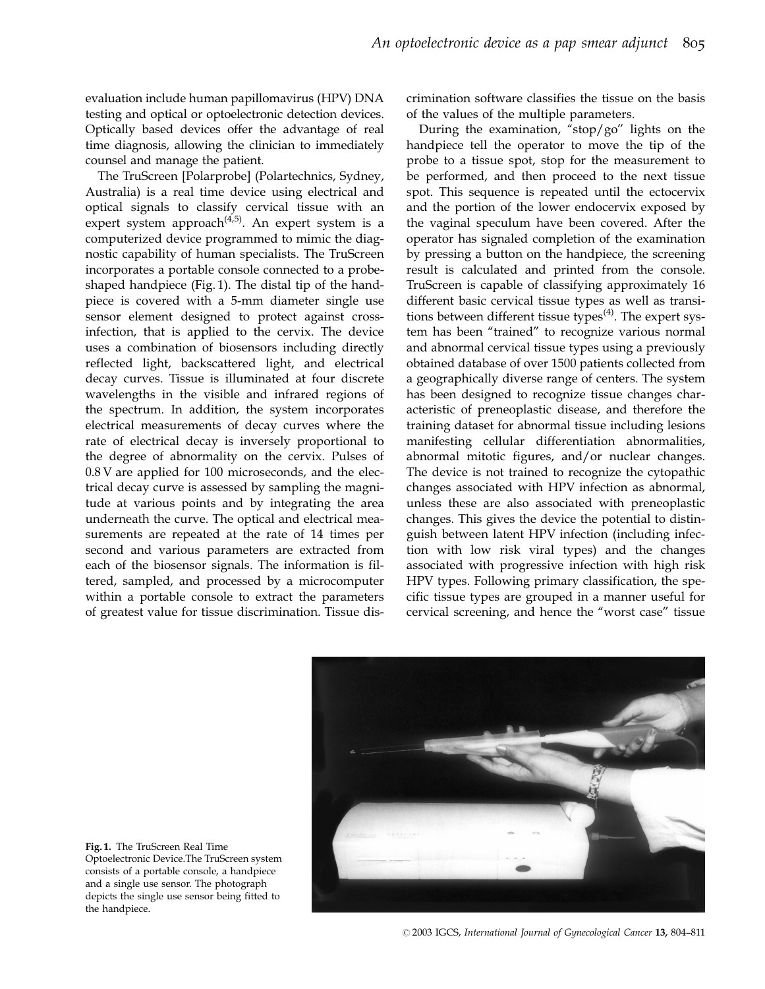evaluation include human papillomavirus (HPV) DNA testing and optical or optoelectronic detection devices. Optically based devices offer the advantage of real time diagnosis, allowing the clinician to immediately counsel and manage the patient.

The TruScreen [Polarprobe] (Polartechnics, Sydney, Australia) is a real time device using electrical and optical signals to classify cervical tissue with an expert system approach $(4,5)$ . An expert system is a computerized device programmed to mimic the diagnostic capability of human specialists. The TruScreen incorporates a portable console connected to a probeshaped handpiece (Fig. 1). The distal tip of the handpiece is covered with a 5-mm diameter single use sensor element designed to protect against crossinfection, that is applied to the cervix. The device uses a combination of biosensors including directly reflected light, backscattered light, and electrical decay curves. Tissue is illuminated at four discrete wavelengths in the visible and infrared regions of the spectrum. In addition, the system incorporates electrical measurements of decay curves where the rate of electrical decay is inversely proportional to the degree of abnormality on the cervix. Pulses of 0.8 V are applied for 100 microseconds, and the electrical decay curve is assessed by sampling the magnitude at various points and by integrating the area underneath the curve. The optical and electrical measurements are repeated at the rate of 14 times per second and various parameters are extracted from each of the biosensor signals. The information is filtered, sampled, and processed by a microcomputer within a portable console to extract the parameters of greatest value for tissue discrimination. Tissue discrimination software classifies the tissue on the basis of the values of the multiple parameters.

During the examination, " $stop/go"$  lights on the handpiece tell the operator to move the tip of the probe to a tissue spot, stop for the measurement to be performed, and then proceed to the next tissue spot. This sequence is repeated until the ectocervix and the portion of the lower endocervix exposed by the vaginal speculum have been covered. After the operator has signaled completion of the examination by pressing a button on the handpiece, the screening result is calculated and printed from the console. TruScreen is capable of classifying approximately 16 different basic cervical tissue types as well as transitions between different tissue types<sup> $(4)$ </sup>. The expert system has been ''trained'' to recognize various normal and abnormal cervical tissue types using a previously obtained database of over 1500 patients collected from a geographically diverse range of centers. The system has been designed to recognize tissue changes characteristic of preneoplastic disease, and therefore the training dataset for abnormal tissue including lesions manifesting cellular differentiation abnormalities, abnormal mitotic figures, and/or nuclear changes. The device is not trained to recognize the cytopathic changes associated with HPV infection as abnormal, unless these are also associated with preneoplastic changes. This gives the device the potential to distinguish between latent HPV infection (including infection with low risk viral types) and the changes associated with progressive infection with high risk HPV types. Following primary classification, the specific tissue types are grouped in a manner useful for cervical screening, and hence the ''worst case'' tissue



Fig. 1. The TruScreen Real Time Optoelectronic Device.The TruScreen system consists of a portable console, a handpiece and a single use sensor. The photograph depicts the single use sensor being fitted to the handpiece.

 $©$  2003 IGCS, International Journal of Gynecological Cancer 13, 804-811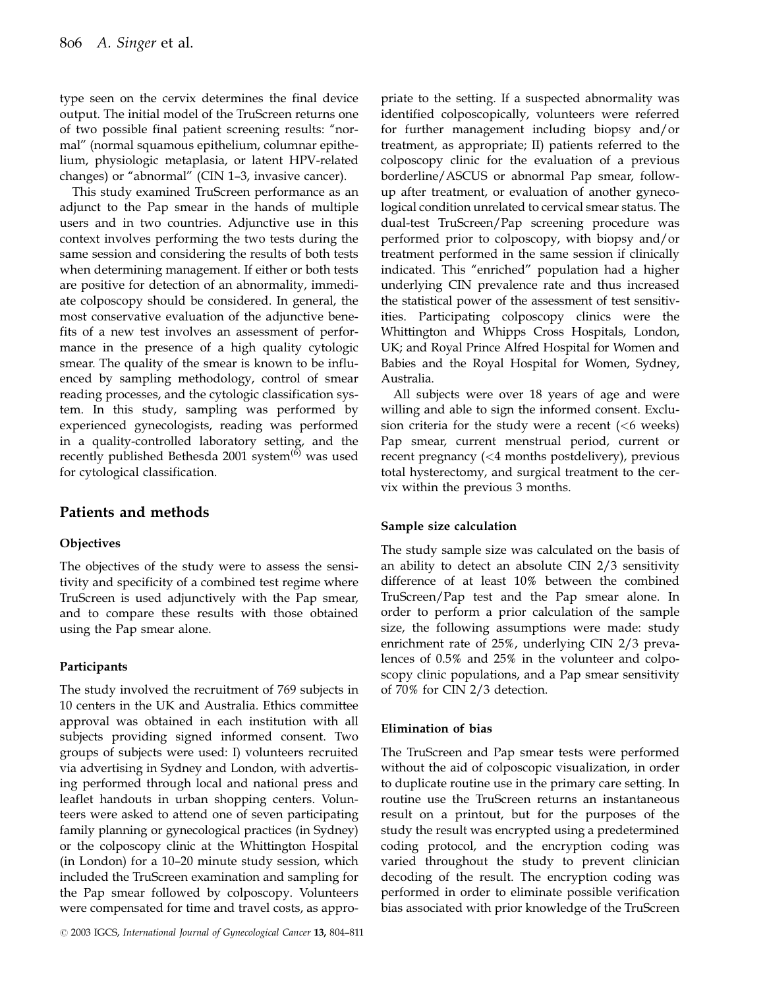type seen on the cervix determines the final device output. The initial model of the TruScreen returns one of two possible final patient screening results: ''normal'' (normal squamous epithelium, columnar epithelium, physiologic metaplasia, or latent HPV-related changes) or "abnormal" (CIN 1-3, invasive cancer).

This study examined TruScreen performance as an adjunct to the Pap smear in the hands of multiple users and in two countries. Adjunctive use in this context involves performing the two tests during the same session and considering the results of both tests when determining management. If either or both tests are positive for detection of an abnormality, immediate colposcopy should be considered. In general, the most conservative evaluation of the adjunctive benefits of a new test involves an assessment of performance in the presence of a high quality cytologic smear. The quality of the smear is known to be influenced by sampling methodology, control of smear reading processes, and the cytologic classification system. In this study, sampling was performed by experienced gynecologists, reading was performed in a quality-controlled laboratory setting, and the recently published Bethesda  $2001$  system<sup> $(6)$ </sup> was used for cytological classification.

## Patients and methods

#### **Objectives**

The objectives of the study were to assess the sensitivity and specificity of a combined test regime where TruScreen is used adjunctively with the Pap smear, and to compare these results with those obtained using the Pap smear alone.

## Participants

The study involved the recruitment of 769 subjects in 10 centers in the UK and Australia. Ethics committee approval was obtained in each institution with all subjects providing signed informed consent. Two groups of subjects were used: I) volunteers recruited via advertising in Sydney and London, with advertising performed through local and national press and leaflet handouts in urban shopping centers. Volunteers were asked to attend one of seven participating family planning or gynecological practices (in Sydney) or the colposcopy clinic at the Whittington Hospital (in London) for a 10—20 minute study session, which included the TruScreen examination and sampling for the Pap smear followed by colposcopy. Volunteers were compensated for time and travel costs, as appro-

priate to the setting. If a suspected abnormality was identified colposcopically, volunteers were referred for further management including biopsy and/or treatment, as appropriate; II) patients referred to the colposcopy clinic for the evaluation of a previous borderline/ASCUS or abnormal Pap smear, followup after treatment, or evaluation of another gynecological condition unrelated to cervical smear status. The dual-test TruScreen/Pap screening procedure was performed prior to colposcopy, with biopsy and/or treatment performed in the same session if clinically indicated. This ''enriched'' population had a higher underlying CIN prevalence rate and thus increased the statistical power of the assessment of test sensitivities. Participating colposcopy clinics were the Whittington and Whipps Cross Hospitals, London, UK; and Royal Prince Alfred Hospital for Women and Babies and the Royal Hospital for Women, Sydney, Australia.

All subjects were over 18 years of age and were willing and able to sign the informed consent. Exclusion criteria for the study were a recent  $(**6**$  weeks) Pap smear, current menstrual period, current or recent pregnancy (<4 months postdelivery), previous total hysterectomy, and surgical treatment to the cervix within the previous 3 months.

#### Sample size calculation

The study sample size was calculated on the basis of an ability to detect an absolute CIN 2/3 sensitivity difference of at least 10% between the combined TruScreen/Pap test and the Pap smear alone. In order to perform a prior calculation of the sample size, the following assumptions were made: study enrichment rate of 25%, underlying CIN 2/3 prevalences of 0.5% and 25% in the volunteer and colposcopy clinic populations, and a Pap smear sensitivity of 70% for CIN 2/3 detection.

#### Elimination of bias

The TruScreen and Pap smear tests were performed without the aid of colposcopic visualization, in order to duplicate routine use in the primary care setting. In routine use the TruScreen returns an instantaneous result on a printout, but for the purposes of the study the result was encrypted using a predetermined coding protocol, and the encryption coding was varied throughout the study to prevent clinician decoding of the result. The encryption coding was performed in order to eliminate possible verification bias associated with prior knowledge of the TruScreen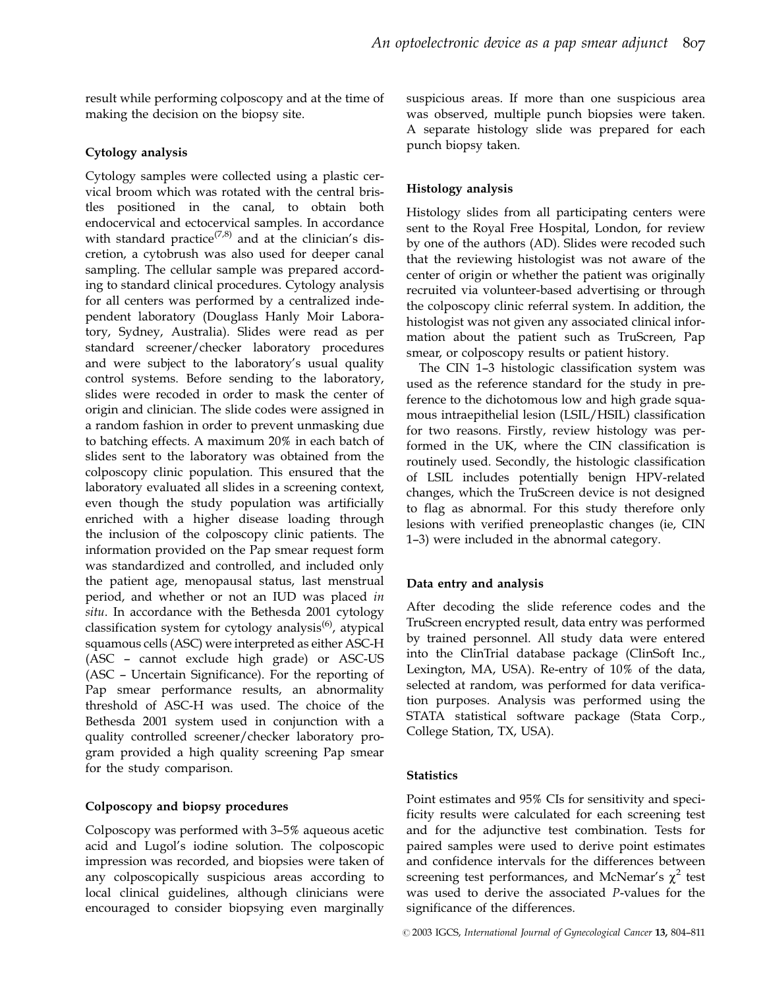result while performing colposcopy and at the time of making the decision on the biopsy site.

#### Cytology analysis

Cytology samples were collected using a plastic cervical broom which was rotated with the central bristles positioned in the canal, to obtain both endocervical and ectocervical samples. In accordance with standard practice<sup> $(7,8)$ </sup> and at the clinician's discretion, a cytobrush was also used for deeper canal sampling. The cellular sample was prepared according to standard clinical procedures. Cytology analysis for all centers was performed by a centralized independent laboratory (Douglass Hanly Moir Laboratory, Sydney, Australia). Slides were read as per standard screener/checker laboratory procedures and were subject to the laboratory's usual quality control systems. Before sending to the laboratory, slides were recoded in order to mask the center of origin and clinician. The slide codes were assigned in a random fashion in order to prevent unmasking due to batching effects. A maximum 20% in each batch of slides sent to the laboratory was obtained from the colposcopy clinic population. This ensured that the laboratory evaluated all slides in a screening context, even though the study population was artificially enriched with a higher disease loading through the inclusion of the colposcopy clinic patients. The information provided on the Pap smear request form was standardized and controlled, and included only the patient age, menopausal status, last menstrual period, and whether or not an IUD was placed in situ. In accordance with the Bethesda 2001 cytology classification system for cytology analysis<sup> $(6)$ </sup>, atypical squamous cells (ASC) were interpreted as either ASC-H (ASC — cannot exclude high grade) or ASC-US (ASC — Uncertain Significance). For the reporting of Pap smear performance results, an abnormality threshold of ASC-H was used. The choice of the Bethesda 2001 system used in conjunction with a quality controlled screener/checker laboratory program provided a high quality screening Pap smear for the study comparison.

## Colposcopy and biopsy procedures

Colposcopy was performed with 3—5% aqueous acetic acid and Lugol's iodine solution. The colposcopic impression was recorded, and biopsies were taken of any colposcopically suspicious areas according to local clinical guidelines, although clinicians were encouraged to consider biopsying even marginally suspicious areas. If more than one suspicious area was observed, multiple punch biopsies were taken. A separate histology slide was prepared for each punch biopsy taken.

## Histology analysis

Histology slides from all participating centers were sent to the Royal Free Hospital, London, for review by one of the authors (AD). Slides were recoded such that the reviewing histologist was not aware of the center of origin or whether the patient was originally recruited via volunteer-based advertising or through the colposcopy clinic referral system. In addition, the histologist was not given any associated clinical information about the patient such as TruScreen, Pap smear, or colposcopy results or patient history.

The CIN 1—3 histologic classification system was used as the reference standard for the study in preference to the dichotomous low and high grade squamous intraepithelial lesion (LSIL/HSIL) classification for two reasons. Firstly, review histology was performed in the UK, where the CIN classification is routinely used. Secondly, the histologic classification of LSIL includes potentially benign HPV-related changes, which the TruScreen device is not designed to flag as abnormal. For this study therefore only lesions with verified preneoplastic changes (ie, CIN 1—3) were included in the abnormal category.

## Data entry and analysis

After decoding the slide reference codes and the TruScreen encrypted result, data entry was performed by trained personnel. All study data were entered into the ClinTrial database package (ClinSoft Inc., Lexington, MA, USA). Re-entry of 10% of the data, selected at random, was performed for data verification purposes. Analysis was performed using the STATA statistical software package (Stata Corp., College Station, TX, USA).

## **Statistics**

Point estimates and 95% CIs for sensitivity and specificity results were calculated for each screening test and for the adjunctive test combination. Tests for paired samples were used to derive point estimates and confidence intervals for the differences between screening test performances, and McNemar's  $\chi^2$  test was used to derive the associated P-values for the significance of the differences.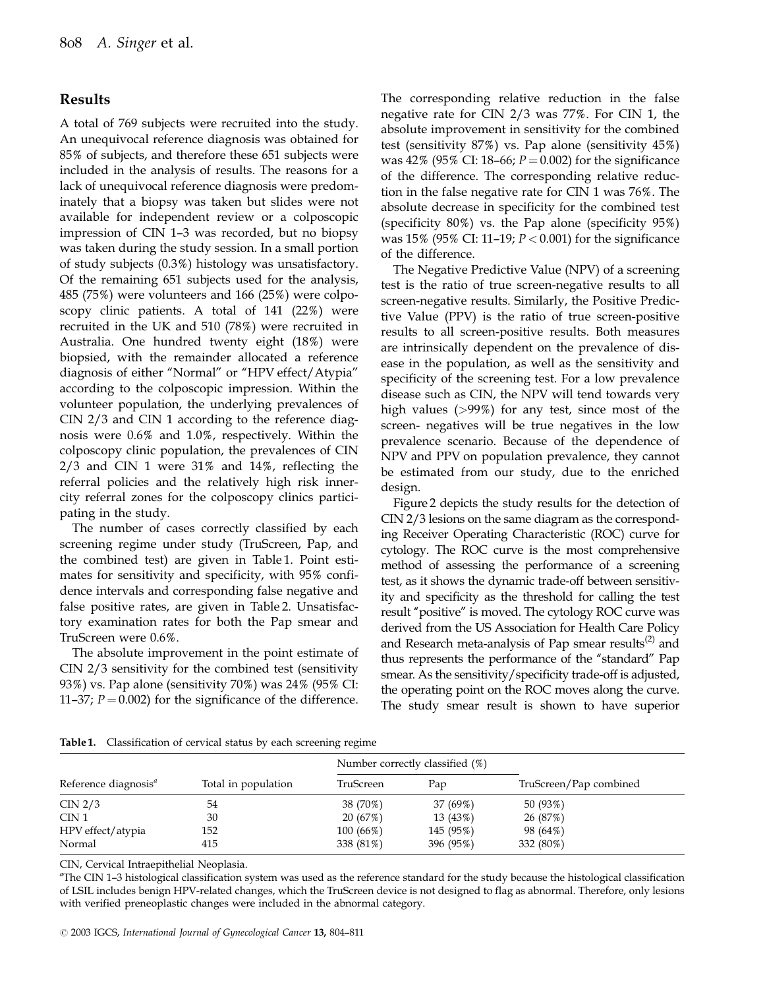## Results

A total of 769 subjects were recruited into the study. An unequivocal reference diagnosis was obtained for 85% of subjects, and therefore these 651 subjects were included in the analysis of results. The reasons for a lack of unequivocal reference diagnosis were predominately that a biopsy was taken but slides were not available for independent review or a colposcopic impression of CIN 1—3 was recorded, but no biopsy was taken during the study session. In a small portion of study subjects (0.3%) histology was unsatisfactory. Of the remaining 651 subjects used for the analysis, 485 (75%) were volunteers and 166 (25%) were colposcopy clinic patients. A total of 141 (22%) were recruited in the UK and 510 (78%) were recruited in Australia. One hundred twenty eight (18%) were biopsied, with the remainder allocated a reference diagnosis of either ''Normal'' or ''HPV effect/Atypia'' according to the colposcopic impression. Within the volunteer population, the underlying prevalences of CIN 2/3 and CIN 1 according to the reference diagnosis were 0.6% and 1.0%, respectively. Within the colposcopy clinic population, the prevalences of CIN 2/3 and CIN 1 were 31% and 14%, reflecting the referral policies and the relatively high risk innercity referral zones for the colposcopy clinics participating in the study.

The number of cases correctly classified by each screening regime under study (TruScreen, Pap, and the combined test) are given in Table 1. Point estimates for sensitivity and specificity, with 95% confidence intervals and corresponding false negative and false positive rates, are given in Table 2. Unsatisfactory examination rates for both the Pap smear and TruScreen were 0.6%.

The absolute improvement in the point estimate of CIN 2/3 sensitivity for the combined test (sensitivity 93%) vs. Pap alone (sensitivity 70%) was 24% (95% CI: 11–37;  $P = 0.002$ ) for the significance of the difference.

The corresponding relative reduction in the false negative rate for CIN 2/3 was 77%. For CIN 1, the absolute improvement in sensitivity for the combined test (sensitivity 87%) vs. Pap alone (sensitivity 45%) was 42% (95% CI: 18–66;  $P = 0.002$ ) for the significance of the difference. The corresponding relative reduction in the false negative rate for CIN 1 was 76%. The absolute decrease in specificity for the combined test (specificity 80%) vs. the Pap alone (specificity 95%) was 15% (95% CI: 11-19;  $P < 0.001$ ) for the significance of the difference.

The Negative Predictive Value (NPV) of a screening test is the ratio of true screen-negative results to all screen-negative results. Similarly, the Positive Predictive Value (PPV) is the ratio of true screen-positive results to all screen-positive results. Both measures are intrinsically dependent on the prevalence of disease in the population, as well as the sensitivity and specificity of the screening test. For a low prevalence disease such as CIN, the NPV will tend towards very high values (>99%) for any test, since most of the screen- negatives will be true negatives in the low prevalence scenario. Because of the dependence of NPV and PPV on population prevalence, they cannot be estimated from our study, due to the enriched design.

Figure 2 depicts the study results for the detection of CIN 2/3 lesions on the same diagram as the corresponding Receiver Operating Characteristic (ROC) curve for cytology. The ROC curve is the most comprehensive method of assessing the performance of a screening test, as it shows the dynamic trade-off between sensitivity and specificity as the threshold for calling the test result "positive" is moved. The cytology ROC curve was derived from the US Association for Health Care Policy and Research meta-analysis of Pap smear results<sup>(2)</sup> and thus represents the performance of the "standard" Pap smear. As the sensitivity/specificity trade-off is adjusted, the operating point on the ROC moves along the curve. The study smear result is shown to have superior

| Table 1. Classification of cervical status by each screening regime |  |  |  |  |
|---------------------------------------------------------------------|--|--|--|--|
|                                                                     |  |  |  |  |

|                                  |                     |            | Number correctly classified (%) |                        |  |
|----------------------------------|---------------------|------------|---------------------------------|------------------------|--|
| Reference diagnosis <sup>a</sup> | Total in population | TruScreen  | Pap                             | TruScreen/Pap combined |  |
| CIN 2/3                          | 54                  | 38 (70%)   | 37 (69%)                        | 50 (93%)               |  |
| CIN <sub>1</sub>                 | 30                  | 20 (67%)   | 13 (43%)                        | 26 (87%)               |  |
| HPV effect/atypia                | 152                 | 100(66%)   | 145 (95%)                       | 98 (64%)               |  |
| Normal                           | 415                 | 338 (81\%) | 396 (95%)                       | 332 (80%)              |  |

CIN, Cervical Intraepithelial Neoplasia.

<sup>a</sup>The CIN 1-3 histological classification system was used as the reference standard for the study because the histological classification of LSIL includes benign HPV-related changes, which the TruScreen device is not designed to flag as abnormal. Therefore, only lesions with verified preneoplastic changes were included in the abnormal category.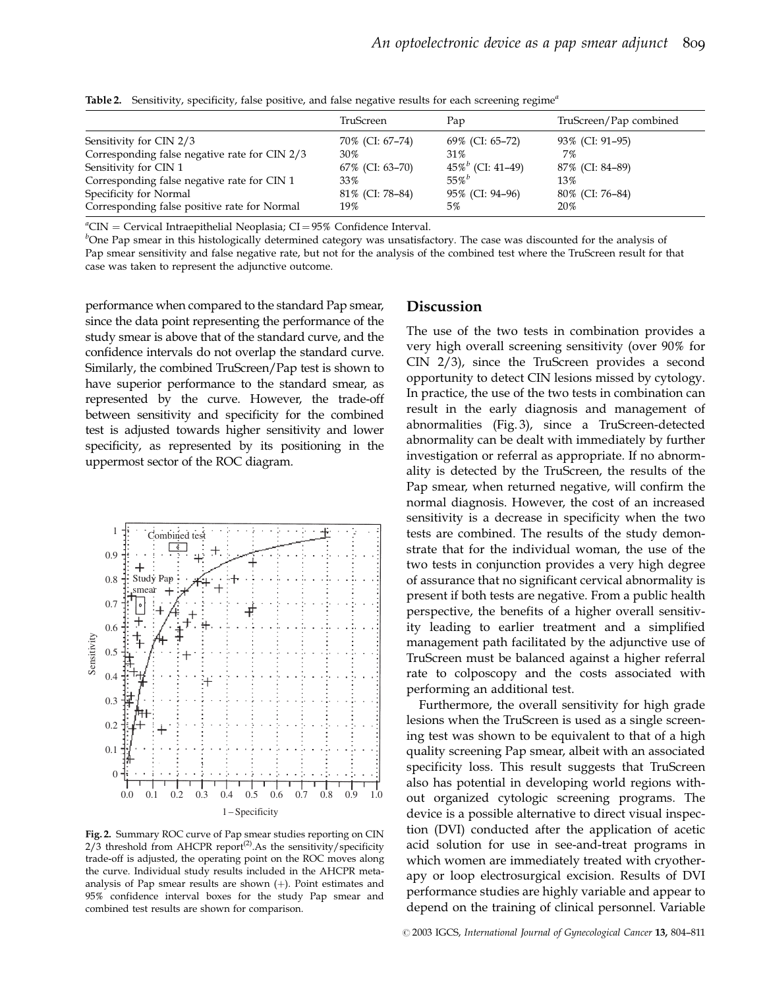|                                               | TruScreen        | Pap             | TruScreen/Pap combined |
|-----------------------------------------------|------------------|-----------------|------------------------|
| Sensitivity for CIN 2/3                       | 70% (CI: 67–74)  | 69% (CI: 65–72) | 93\% (CI: 91-95)       |
| Corresponding false negative rate for CIN 2/3 | 30%              | 31%             | 7%                     |
| Sensitivity for CIN 1                         | 67\% (CI: 63-70) | 45% (CI: 41-49) | 87% (CI: 84–89)        |
| Corresponding false negative rate for CIN 1   | 33%              | $55\%$          | 13%                    |
| Specificity for Normal                        | 81\% (CI: 78-84) | 95% (CI: 94–96) | 80\% (CI: 76-84)       |
| Corresponding false positive rate for Normal  | 19%              | 5%              | 20%                    |
|                                               |                  |                 |                        |

Table 2. Sensitivity, specificity, false positive, and false negative results for each screening regime<sup> $a$ </sup>

 ${}^{\mu}$ CIN = Cervical Intraepithelial Neoplasia; CI = 95% Confidence Interval.

<sup>b</sup>One Pap smear in this histologically determined category was unsatisfactory. The case was discounted for the analysis of Pap smear sensitivity and false negative rate, but not for the analysis of the combined test where the TruScreen result for that case was taken to represent the adjunctive outcome.

performance when compared to the standard Pap smear, since the data point representing the performance of the study smear is above that of the standard curve, and the confidence intervals do not overlap the standard curve. Similarly, the combined TruScreen/Pap test is shown to have superior performance to the standard smear, as represented by the curve. However, the trade-off between sensitivity and specificity for the combined test is adjusted towards higher sensitivity and lower specificity, as represented by its positioning in the uppermost sector of the ROC diagram.



Fig. 2. Summary ROC curve of Pap smear studies reporting on CIN  $2/3$  threshold from AHCPR report<sup>(2)</sup>. As the sensitivity/specificity trade-off is adjusted, the operating point on the ROC moves along the curve. Individual study results included in the AHCPR metaanalysis of Pap smear results are shown  $(+)$ . Point estimates and 95% confidence interval boxes for the study Pap smear and combined test results are shown for comparison.

#### Discussion

The use of the two tests in combination provides a very high overall screening sensitivity (over 90% for CIN 2/3), since the TruScreen provides a second opportunity to detect CIN lesions missed by cytology. In practice, the use of the two tests in combination can result in the early diagnosis and management of abnormalities (Fig. 3), since a TruScreen-detected abnormality can be dealt with immediately by further investigation or referral as appropriate. If no abnormality is detected by the TruScreen, the results of the Pap smear, when returned negative, will confirm the normal diagnosis. However, the cost of an increased sensitivity is a decrease in specificity when the two tests are combined. The results of the study demonstrate that for the individual woman, the use of the two tests in conjunction provides a very high degree of assurance that no significant cervical abnormality is present if both tests are negative. From a public health perspective, the benefits of a higher overall sensitivity leading to earlier treatment and a simplified management path facilitated by the adjunctive use of TruScreen must be balanced against a higher referral rate to colposcopy and the costs associated with performing an additional test.

Furthermore, the overall sensitivity for high grade lesions when the TruScreen is used as a single screening test was shown to be equivalent to that of a high quality screening Pap smear, albeit with an associated specificity loss. This result suggests that TruScreen also has potential in developing world regions without organized cytologic screening programs. The device is a possible alternative to direct visual inspection (DVI) conducted after the application of acetic acid solution for use in see-and-treat programs in which women are immediately treated with cryotherapy or loop electrosurgical excision. Results of DVI performance studies are highly variable and appear to depend on the training of clinical personnel. Variable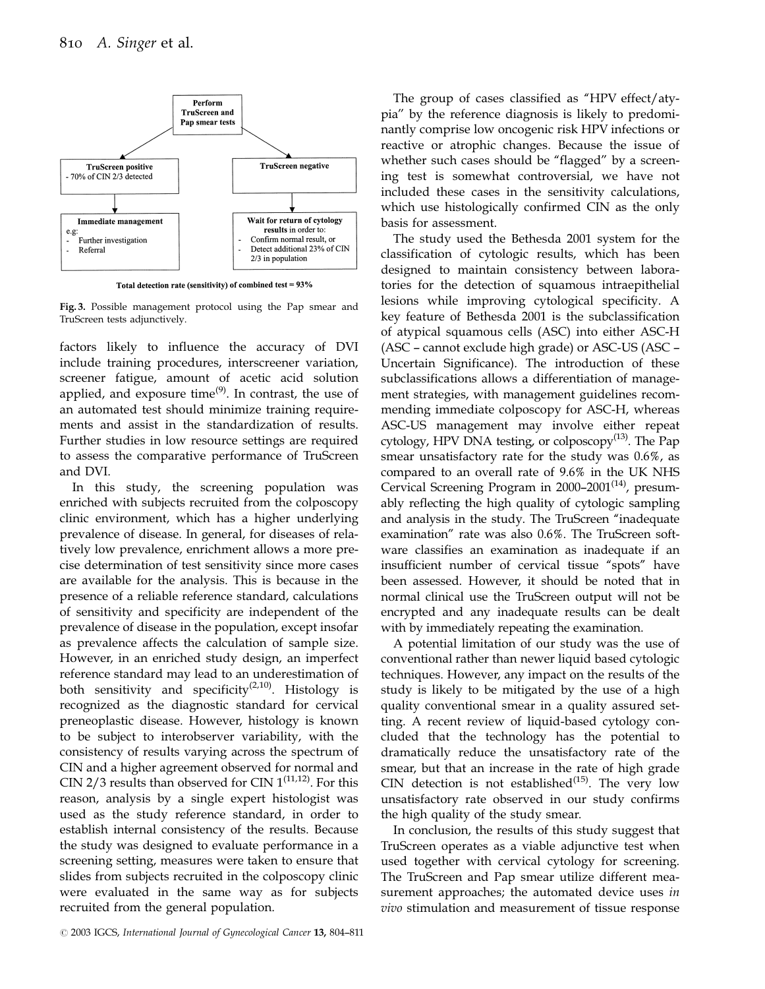

Total detection rate (sensitivity) of combined test = 93%

Fig. 3. Possible management protocol using the Pap smear and TruScreen tests adjunctively.

factors likely to influence the accuracy of DVI include training procedures, interscreener variation, screener fatigue, amount of acetic acid solution applied, and exposure time<sup> $(9)$ </sup>. In contrast, the use of an automated test should minimize training requirements and assist in the standardization of results. Further studies in low resource settings are required to assess the comparative performance of TruScreen and DVI.

In this study, the screening population was enriched with subjects recruited from the colposcopy clinic environment, which has a higher underlying prevalence of disease. In general, for diseases of relatively low prevalence, enrichment allows a more precise determination of test sensitivity since more cases are available for the analysis. This is because in the presence of a reliable reference standard, calculations of sensitivity and specificity are independent of the prevalence of disease in the population, except insofar as prevalence affects the calculation of sample size. However, in an enriched study design, an imperfect reference standard may lead to an underestimation of both sensitivity and specificity<sup>(2,10)</sup>. Histology is recognized as the diagnostic standard for cervical preneoplastic disease. However, histology is known to be subject to interobserver variability, with the consistency of results varying across the spectrum of CIN and a higher agreement observed for normal and CIN 2/3 results than observed for CIN  $1^{(11,12)}$ . For this reason, analysis by a single expert histologist was used as the study reference standard, in order to establish internal consistency of the results. Because the study was designed to evaluate performance in a screening setting, measures were taken to ensure that slides from subjects recruited in the colposcopy clinic were evaluated in the same way as for subjects recruited from the general population.

The group of cases classified as ''HPV effect/atypia'' by the reference diagnosis is likely to predominantly comprise low oncogenic risk HPV infections or reactive or atrophic changes. Because the issue of whether such cases should be "flagged" by a screening test is somewhat controversial, we have not included these cases in the sensitivity calculations, which use histologically confirmed CIN as the only basis for assessment.

The study used the Bethesda 2001 system for the classification of cytologic results, which has been designed to maintain consistency between laboratories for the detection of squamous intraepithelial lesions while improving cytological specificity. A key feature of Bethesda 2001 is the subclassification of atypical squamous cells (ASC) into either ASC-H (ASC — cannot exclude high grade) or ASC-US (ASC — Uncertain Significance). The introduction of these subclassifications allows a differentiation of management strategies, with management guidelines recommending immediate colposcopy for ASC-H, whereas ASC-US management may involve either repeat cytology, HPV DNA testing, or colposcopy $(13)$ . The Pap smear unsatisfactory rate for the study was 0.6%, as compared to an overall rate of 9.6% in the UK NHS Cervical Screening Program in  $2000-2001^{(14)}$ , presumably reflecting the high quality of cytologic sampling and analysis in the study. The TruScreen ''inadequate examination'' rate was also 0.6%. The TruScreen software classifies an examination as inadequate if an insufficient number of cervical tissue "spots" have been assessed. However, it should be noted that in normal clinical use the TruScreen output will not be encrypted and any inadequate results can be dealt with by immediately repeating the examination.

A potential limitation of our study was the use of conventional rather than newer liquid based cytologic techniques. However, any impact on the results of the study is likely to be mitigated by the use of a high quality conventional smear in a quality assured setting. A recent review of liquid-based cytology concluded that the technology has the potential to dramatically reduce the unsatisfactory rate of the smear, but that an increase in the rate of high grade CIN detection is not established $(15)$ . The very low unsatisfactory rate observed in our study confirms the high quality of the study smear.

In conclusion, the results of this study suggest that TruScreen operates as a viable adjunctive test when used together with cervical cytology for screening. The TruScreen and Pap smear utilize different measurement approaches; the automated device uses in vivo stimulation and measurement of tissue response